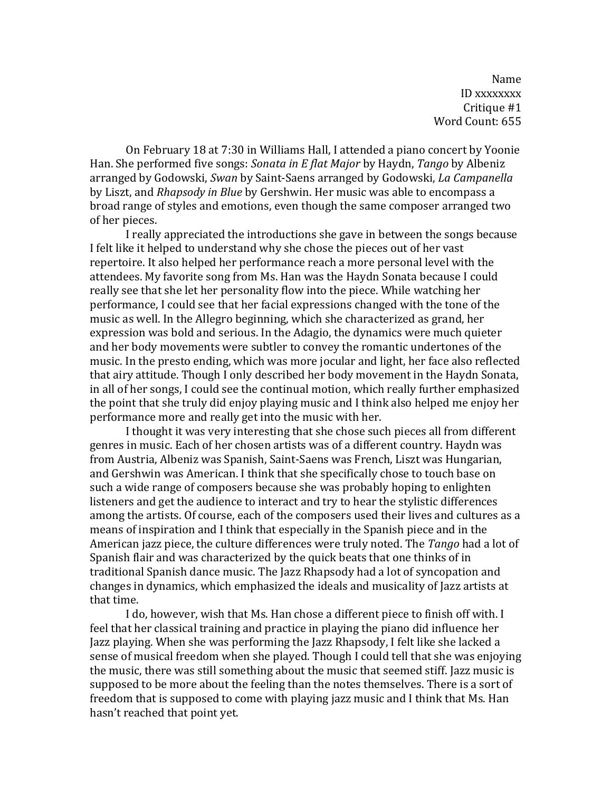Name ID xxxxxxxx Critique #1 Word Count: 655

On February 18 at 7:30 in Williams Hall, I attended a piano concert by Yoonie Han. She performed five songs: *Sonata in E flat Major* by Haydn, *Tango* by Albeniz arranged by Godowski, *Swan* by Saint-Saens arranged by Godowski, *La Campanella* by Liszt, and *Rhapsody in Blue* by Gershwin. Her music was able to encompass a broad range of styles and emotions, even though the same composer arranged two of her pieces.

I really appreciated the introductions she gave in between the songs because I felt like it helped to understand why she chose the pieces out of her vast repertoire. It also helped her performance reach a more personal level with the attendees. My favorite song from Ms. Han was the Haydn Sonata because I could really see that she let her personality flow into the piece. While watching her performance, I could see that her facial expressions changed with the tone of the music as well. In the Allegro beginning, which she characterized as grand, her expression was bold and serious. In the Adagio, the dynamics were much quieter and her body movements were subtler to convey the romantic undertones of the music. In the presto ending, which was more jocular and light, her face also reflected that airy attitude. Though I only described her body movement in the Haydn Sonata, in all of her songs, I could see the continual motion, which really further emphasized the point that she truly did enjoy playing music and I think also helped me enjoy her performance more and really get into the music with her.

I thought it was very interesting that she chose such pieces all from different genres in music. Each of her chosen artists was of a different country. Haydn was from Austria, Albeniz was Spanish, Saint-Saens was French, Liszt was Hungarian, and Gershwin was American. I think that she specifically chose to touch base on such a wide range of composers because she was probably hoping to enlighten listeners and get the audience to interact and try to hear the stylistic differences among the artists. Of course, each of the composers used their lives and cultures as a means of inspiration and I think that especially in the Spanish piece and in the American jazz piece, the culture differences were truly noted. The *Tango* had a lot of Spanish flair and was characterized by the quick beats that one thinks of in traditional Spanish dance music. The Jazz Rhapsody had a lot of syncopation and changes in dynamics, which emphasized the ideals and musicality of Jazz artists at that time.

I do, however, wish that Ms. Han chose a different piece to finish off with. I feel that her classical training and practice in playing the piano did influence her Jazz playing. When she was performing the Jazz Rhapsody, I felt like she lacked a sense of musical freedom when she played. Though I could tell that she was enjoying the music, there was still something about the music that seemed stiff. Jazz music is supposed to be more about the feeling than the notes themselves. There is a sort of freedom that is supposed to come with playing jazz music and I think that Ms. Han hasn't reached that point yet.